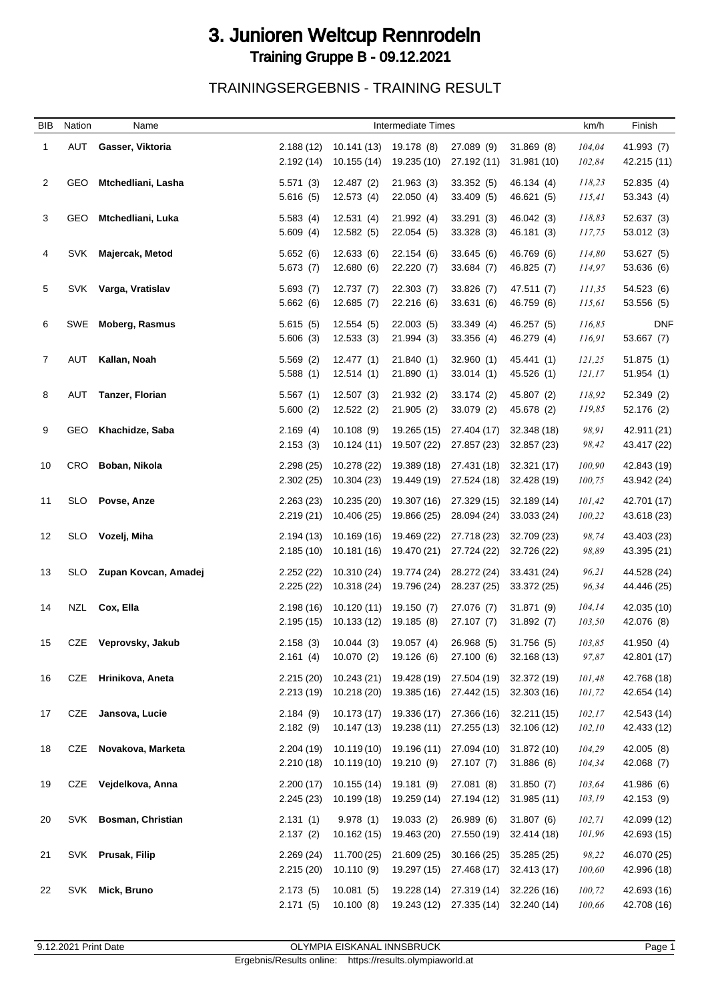## 3. Junioren Weltcup Rennrodeln Training Gruppe B - 09.12.2021

TRAININGSERGEBNIS - TRAINING RESULT

| <b>BIB</b>     | Nation     | Name                     |                         |                            | Intermediate Times         |                            |                            |                   | km/h<br>Finish             |
|----------------|------------|--------------------------|-------------------------|----------------------------|----------------------------|----------------------------|----------------------------|-------------------|----------------------------|
| $\mathbf{1}$   | AUT        | Gasser, Viktoria         | 2.188(12)<br>2.192 (14) | 10.141 (13)<br>10.155(14)  | 19.178 (8)<br>19.235 (10)  | 27.089 (9)<br>27.192 (11)  | 31.869(8)<br>31.981 (10)   | 104,04<br>102,84  | 41.993 (7)<br>42.215 (11)  |
| 2              | GEO        | Mtchedliani, Lasha       | 5.571(3)<br>5.616(5)    | 12.487(2)<br>12.573(4)     | 21.963(3)<br>22.050(4)     | 33.352(5)<br>33.409 (5)    | 46.134 (4)<br>46.621 (5)   | 118,23<br>115,41  | 52.835(4)<br>53.343(4)     |
| 3              | GEO        | Mtchedliani, Luka        | 5.583(4)<br>5.609(4)    | 12.531(4)<br>12.582(5)     | 21.992 (4)<br>22.054(5)    | 33.291 (3)<br>33.328(3)    | 46.042 (3)<br>46.181 (3)   | 118,83<br>117,75  | 52.637(3)<br>53.012(3)     |
| 4              | <b>SVK</b> | Majercak, Metod          | 5.652(6)<br>5.673(7)    | 12.633(6)<br>12.680(6)     | 22.154 (6)<br>22.220 (7)   | 33.645(6)<br>33.684 (7)    | 46.769 (6)<br>46.825 (7)   | 114,80<br>114,97  | 53.627 (5)<br>53.636 (6)   |
| 5              | <b>SVK</b> | Varga, Vratislav         | 5.693(7)<br>5.662(6)    | 12.737(7)<br>12.685(7)     | 22.303 (7)<br>22.216 (6)   | 33.826 (7)<br>33.631 (6)   | 47.511 (7)<br>46.759 (6)   | 111,35<br>115,61  | 54.523 (6)<br>53.556 (5)   |
| 6              | SWE        | <b>Moberg, Rasmus</b>    | 5.615(5)<br>5.606(3)    | 12.554 (5)<br>12.533(3)    | 22.003(5)<br>21.994 (3)    | 33.349 (4)<br>33.356(4)    | 46.257 (5)<br>46.279 (4)   | 116,85<br>116,91  | <b>DNF</b><br>53.667 (7)   |
| $\overline{7}$ | AUT        | Kallan, Noah             | 5.569(2)<br>5.588(1)    | 12.477(1)<br>12.514(1)     | 21.840(1)<br>21.890(1)     | 32.960 (1)<br>33.014(1)    | 45.441 (1)<br>45.526 (1)   | 121,25<br>121,17  | 51.875(1)<br>51.954(1)     |
| 8              | AUT        | <b>Tanzer, Florian</b>   | 5.567(1)<br>5.600(2)    | 12.507(3)<br>12.522(2)     | 21.932(2)<br>21.905(2)     | 33.174 (2)<br>33.079 (2)   | 45.807 (2)<br>45.678 (2)   | 118,92<br>119,85  | 52.349 (2)<br>52.176 (2)   |
| 9              | GEO.       | Khachidze, Saba          | 2.169(4)<br>2.153(3)    | 10.108(9)<br>10.124(11)    | 19.265 (15)<br>19.507 (22) | 27.404 (17)<br>27.857 (23) | 32.348 (18)<br>32.857 (23) | 98,91<br>98,42    | 42.911 (21)<br>43.417 (22) |
| 10             | CRO        | Boban, Nikola            | 2.298(25)<br>2.302(25)  | 10.278 (22)<br>10.304 (23) | 19.389 (18)<br>19.449 (19) | 27.431 (18)<br>27.524 (18) | 32.321 (17)<br>32.428 (19) | 100,90<br>100,75  | 42.843 (19)<br>43.942 (24) |
| 11             | SLO.       | Povse, Anze              | 2.263(23)<br>2.219(21)  | 10.235 (20)<br>10.406 (25) | 19.307 (16)<br>19.866 (25) | 27.329 (15)<br>28.094 (24) | 32.189 (14)<br>33.033 (24) | 101,42<br>100,22  | 42.701 (17)<br>43.618 (23) |
| 12             | <b>SLO</b> | Vozelj, Miha             | 2.194 (13)<br>2.185(10) | 10.169 (16)<br>10.181 (16) | 19.469 (22)<br>19.470 (21) | 27.718 (23)<br>27.724 (22) | 32.709 (23)<br>32.726 (22) | 98,74<br>98,89    | 43.403 (23)<br>43.395 (21) |
| 13             | <b>SLO</b> | Zupan Kovcan, Amadej     | 2.252(22)<br>2.225(22)  | 10.310 (24)<br>10.318 (24) | 19.774 (24)<br>19.796 (24) | 28.272 (24)<br>28.237 (25) | 33.431 (24)<br>33.372 (25) | 96,21<br>96,34    | 44.528 (24)<br>44.446 (25) |
| 14             | NZL        | Cox, Ella                | 2.198(16)<br>2.195(15)  | 10.120(11)<br>10.133(12)   | 19.150 (7)<br>19.185 (8)   | 27.076 (7)<br>27.107(7)    | 31.871 (9)<br>31.892 (7)   | 104, 14<br>103,50 | 42.035 (10)<br>42.076 (8)  |
| 15             | CZE        | Veprovsky, Jakub         | 2.158(3)<br>2.161(4)    | 10.044(3)<br>10.070(2)     | 19.057(4)<br>19.126 (6)    | 26.968 (5)<br>27.100(6)    | 31.756 (5)<br>32.168 (13)  | 103,85<br>97,87   | 41.950 (4)<br>42.801 (17)  |
| 16             | CZE        | Hrinikova, Aneta         | 2.215(20)<br>2.213(19)  | 10.243 (21)<br>10.218 (20) | 19.428 (19)<br>19.385 (16) | 27.504 (19)<br>27.442 (15) | 32.372 (19)<br>32.303 (16) | 101,48<br>101,72  | 42.768 (18)<br>42.654 (14) |
| 17             | CZE        | Jansova, Lucie           | 2.184(9)<br>2.182(9)    | 10.173 (17)<br>10.147 (13) | 19.336 (17)<br>19.238 (11) | 27.366 (16)<br>27.255 (13) | 32.211 (15)<br>32.106 (12) | 102,17<br>102,10  | 42.543 (14)<br>42.433 (12) |
| 18             | CZE        | Novakova, Marketa        | 2.204 (19)<br>2.210(18) | 10.119 (10)<br>10.119 (10) | 19.196 (11)<br>19.210 (9)  | 27.094 (10)<br>27.107(7)   | 31.872 (10)<br>31.886 (6)  | 104,29<br>104,34  | 42.005 (8)<br>42.068 (7)   |
| 19             | CZE        | Vejdelkova, Anna         | 2.200(17)<br>2.245(23)  | 10.155 (14)<br>10.199 (18) | 19.181 (9)<br>19.259 (14)  | 27.081 (8)<br>27.194 (12)  | 31.850(7)<br>31.985 (11)   | 103,64<br>103,19  | 41.986 (6)<br>42.153 (9)   |
| 20             | SVK        | <b>Bosman, Christian</b> | 2.131(1)<br>2.137(2)    | 9.978(1)<br>10.162(15)     | 19.033 (2)<br>19.463 (20)  | 26.989 (6)<br>27.550 (19)  | 31.807(6)<br>32.414 (18)   | 102,71<br>101,96  | 42.099 (12)<br>42.693 (15) |
| 21             |            | SVK Prusak, Filip        | 2.269(24)<br>2.215(20)  | 11.700 (25)<br>10.110(9)   | 21.609 (25)<br>19.297 (15) | 30.166 (25)<br>27.468 (17) | 35.285 (25)<br>32.413 (17) | 98,22<br>100,60   | 46.070 (25)<br>42.996 (18) |
| 22             | SVK        | Mick, Bruno              | 2.173(5)<br>2.171(5)    | 10.081(5)<br>10.100(8)     | 19.228 (14)<br>19.243 (12) | 27.319 (14)<br>27.335 (14) | 32.226 (16)<br>32.240 (14) | 100,72<br>100,66  | 42.693 (16)<br>42.708 (16) |